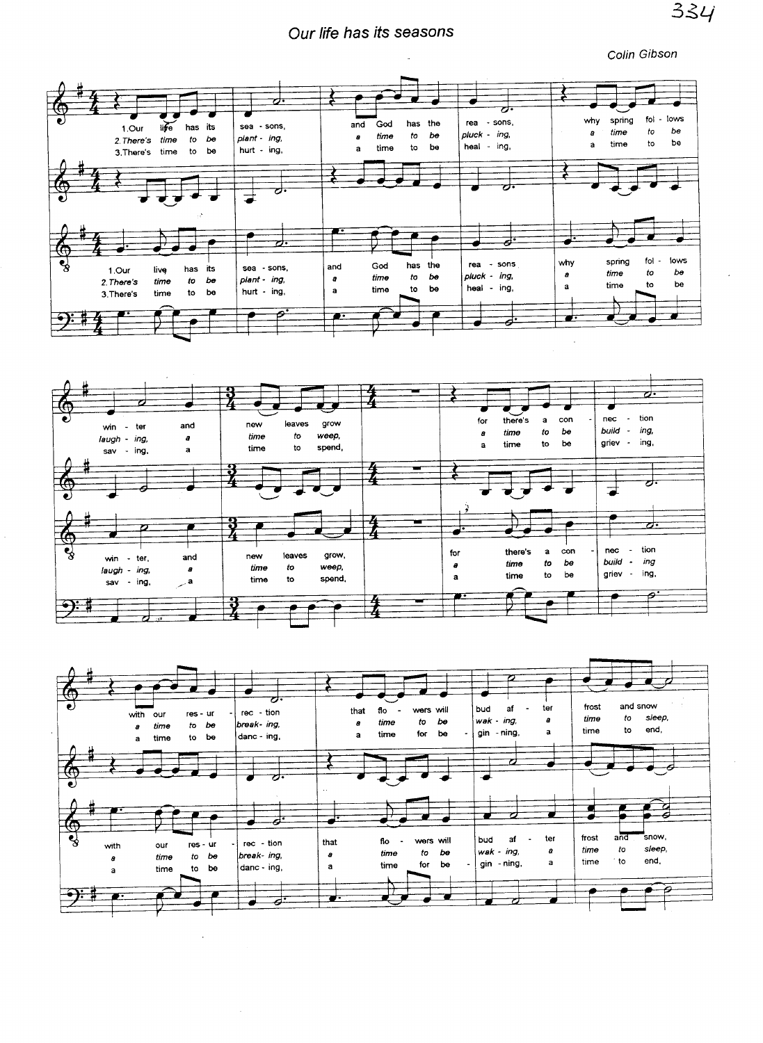## Our life has its seasons

Colin Gibson